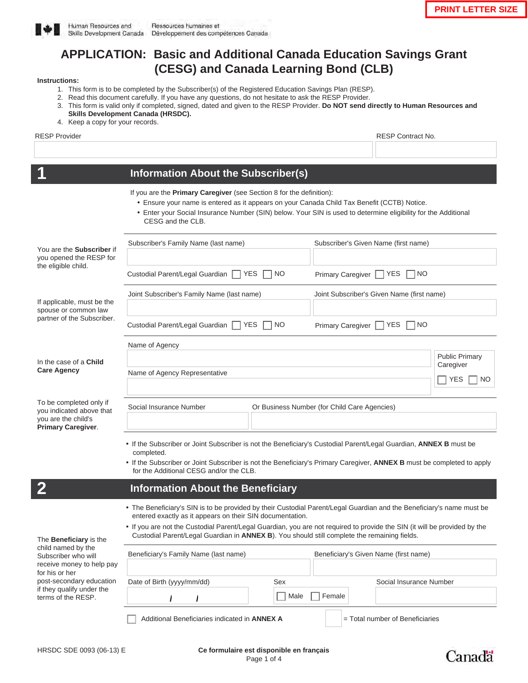

# **APPLICATION: Basic and Additional Canada Education Savings Grant (CESG) and Canada Learning Bond (CLB)**

#### **Instructions:**

- 1. This form is to be completed by the Subscriber(s) of the Registered Education Savings Plan (RESP).
- 2. Read this document carefully. If you have any questions, do not hesitate to ask the RESP Provider.
- 3. This form is valid only if completed, signed, dated and given to the RESP Provider. **Do NOT send directly to Human Resources and Skills Development Canada (HRSDC).**
- 4. Keep a copy for your records.

RESP Provider **RESP Contract No.** 2012 12:00 NM and 2012 12:00 NM and 2012 12:00 NM and 2012 12:00 NM and 2012 12:00 NM and 2012 12:00 NM and 2012 12:00 NM and 2012 12:00 NM and 2012 12:00 NM and 2012 12:00 NM and 2012 12:

#### **1 Information About the Subscriber(s)**

If you are the **Primary Caregiver** (see Section 8 for the definition):

- Ensure your name is entered as it appears on your Canada Child Tax Benefit (CCTB) Notice.
- Enter your Social Insurance Number (SIN) below. Your SIN is used to determine eligibility for the Additional CESG and the CLB.

| You are the Subscriber if<br>you opened the RESP for<br>the eligible child.                                                                                                                       | Subscriber's Family Name (last name)                                                                                                                                                                                      | Subscriber's Given Name (first name)  |                                    |
|---------------------------------------------------------------------------------------------------------------------------------------------------------------------------------------------------|---------------------------------------------------------------------------------------------------------------------------------------------------------------------------------------------------------------------------|---------------------------------------|------------------------------------|
|                                                                                                                                                                                                   |                                                                                                                                                                                                                           |                                       |                                    |
|                                                                                                                                                                                                   | Custodial Parent/Legal Guardian<br><b>YES</b><br><b>NO</b>                                                                                                                                                                | Primary Caregiver                     | <b>YES</b><br>$\sqcap$ No          |
| If applicable, must be the<br>spouse or common law<br>partner of the Subscriber.                                                                                                                  | Joint Subscriber's Family Name (last name)<br>Joint Subscriber's Given Name (first name)                                                                                                                                  |                                       |                                    |
|                                                                                                                                                                                                   |                                                                                                                                                                                                                           |                                       |                                    |
|                                                                                                                                                                                                   | Custodial Parent/Legal Guardian  <br><b>NO YES</b><br>N <sub>O</sub>                                                                                                                                                      | Primary Caregiver                     | <b>YES</b><br><b>NO</b>            |
|                                                                                                                                                                                                   | Name of Agency                                                                                                                                                                                                            |                                       |                                    |
| In the case of a <b>Child</b><br><b>Care Agency</b><br>To be completed only if<br>you indicated above that                                                                                        |                                                                                                                                                                                                                           |                                       | <b>Public Primary</b><br>Caregiver |
|                                                                                                                                                                                                   | Name of Agency Representative                                                                                                                                                                                             |                                       | <b>YES</b><br>NO.                  |
|                                                                                                                                                                                                   |                                                                                                                                                                                                                           |                                       |                                    |
|                                                                                                                                                                                                   | Social Insurance Number<br>Or Business Number (for Child Care Agencies)                                                                                                                                                   |                                       |                                    |
| you are the child's<br>Primary Caregiver.                                                                                                                                                         |                                                                                                                                                                                                                           |                                       |                                    |
|                                                                                                                                                                                                   | . If the Subscriber or Joint Subscriber is not the Beneficiary's Custodial Parent/Legal Guardian, ANNEX B must be<br>completed.                                                                                           |                                       |                                    |
|                                                                                                                                                                                                   | • If the Subscriber or Joint Subscriber is not the Beneficiary's Primary Caregiver, ANNEX B must be completed to apply<br>for the Additional CESG and/or the CLB.                                                         |                                       |                                    |
|                                                                                                                                                                                                   | <b>Information About the Beneficiary</b>                                                                                                                                                                                  |                                       |                                    |
|                                                                                                                                                                                                   | . The Beneficiary's SIN is to be provided by their Custodial Parent/Legal Guardian and the Beneficiary's name must be                                                                                                     |                                       |                                    |
| The Beneficiary is the<br>child named by the<br>Subscriber who will<br>receive money to help pay<br>for his or her<br>post-secondary education<br>if they qualify under the<br>terms of the RESP. | entered exactly as it appears on their SIN documentation.                                                                                                                                                                 |                                       |                                    |
|                                                                                                                                                                                                   | . If you are not the Custodial Parent/Legal Guardian, you are not required to provide the SIN (it will be provided by the<br>Custodial Parent/Legal Guardian in ANNEX B). You should still complete the remaining fields. |                                       |                                    |
|                                                                                                                                                                                                   | Beneficiary's Family Name (last name)                                                                                                                                                                                     | Beneficiary's Given Name (first name) |                                    |
|                                                                                                                                                                                                   |                                                                                                                                                                                                                           |                                       |                                    |
|                                                                                                                                                                                                   | Date of Birth (yyyy/mm/dd)<br>Sex                                                                                                                                                                                         |                                       | Social Insurance Number            |
|                                                                                                                                                                                                   |                                                                                                                                                                                                                           | Female<br>Male                        |                                    |
|                                                                                                                                                                                                   | Additional Beneficiaries indicated in <b>ANNEX A</b>                                                                                                                                                                      |                                       | = Total number of Beneficiaries    |

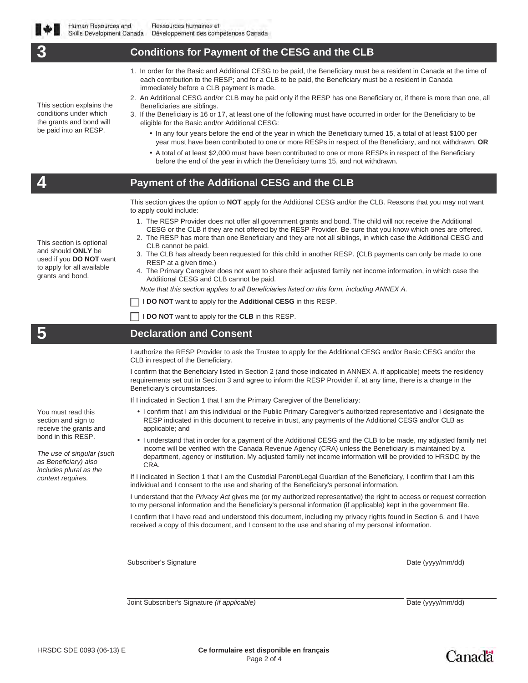This section explains the conditions under which the grants and bond will be paid into an RESP.

### **3 Conditions for Payment of the CESG and the CLB**

- 1. In order for the Basic and Additional CESG to be paid, the Beneficiary must be a resident in Canada at the time of each contribution to the RESP; and for a CLB to be paid, the Beneficiary must be a resident in Canada immediately before a CLB payment is made.
- 2. An Additional CESG and/or CLB may be paid only if the RESP has one Beneficiary or, if there is more than one, all Beneficiaries are siblings.
- 3. If the Beneficiary is 16 or 17, at least one of the following must have occurred in order for the Beneficiary to be eligible for the Basic and/or Additional CESG:
	- In any four years before the end of the year in which the Beneficiary turned 15, a total of at least \$100 per year must have been contributed to one or more RESPs in respect of the Beneficiary, and not withdrawn. **OR**
	- A total of at least \$2,000 must have been contributed to one or more RESPs in respect of the Beneficiary before the end of the year in which the Beneficiary turns 15, and not withdrawn.

#### **4 Payment of the Additional CESG and the CLB**

This section gives the option to **NOT** apply for the Additional CESG and/or the CLB. Reasons that you may not want to apply could include:

- 1. The RESP Provider does not offer all government grants and bond. The child will not receive the Additional
- CESG or the CLB if they are not offered by the RESP Provider. Be sure that you know which ones are offered. 2. The RESP has more than one Beneficiary and they are not all siblings, in which case the Additional CESG and

This section is optional and should **ONLY** be used if you **DO NOT** want to apply for all available

grants and bond.

You must read this section and sign to receive the grants and bond in this RESP.

*The use of singular (such as Beneficiary) also includes plural as the context requires.*

- CLB cannot be paid. 3. The CLB has already been requested for this child in another RESP. (CLB payments can only be made to one RESP at a given time.)
- 4. The Primary Caregiver does not want to share their adjusted family net income information, in which case the Additional CESG and CLB cannot be paid.

*Note that this section applies to all Beneficiaries listed on this form, including ANNEX A.*

**I DO NOT** want to apply for the **Additional CESG** in this RESP.

I **DO NOT** want to apply for the **CLB** in this RESP.

## **5 Declaration and Consent**

I authorize the RESP Provider to ask the Trustee to apply for the Additional CESG and/or Basic CESG and/or the CLB in respect of the Beneficiary.

I confirm that the Beneficiary listed in Section 2 (and those indicated in ANNEX A, if applicable) meets the residency requirements set out in Section 3 and agree to inform the RESP Provider if, at any time, there is a change in the Beneficiary's circumstances.

If I indicated in Section 1 that I am the Primary Caregiver of the Beneficiary:

- I confirm that I am this individual or the Public Primary Caregiver's authorized representative and I designate the RESP indicated in this document to receive in trust, any payments of the Additional CESG and/or CLB as applicable; and
- I understand that in order for a payment of the Additional CESG and the CLB to be made, my adjusted family net income will be verified with the Canada Revenue Agency (CRA) unless the Beneficiary is maintained by a department, agency or institution. My adjusted family net income information will be provided to HRSDC by the CRA.

If I indicated in Section 1 that I am the Custodial Parent/Legal Guardian of the Beneficiary, I confirm that I am this individual and I consent to the use and sharing of the Beneficiary's personal information.

I understand that the *Privacy Act* gives me (or my authorized representative) the right to access or request correction to my personal information and the Beneficiary's personal information (if applicable) kept in the government file.

I confirm that I have read and understood this document, including my privacy rights found in Section 6, and I have received a copy of this document, and I consent to the use and sharing of my personal information.

Subscriber's Signature Date (yyyy/mm/dd)

Joint Subscriber's Signature *(if applicable)* Date (yyyy/mm/dd)

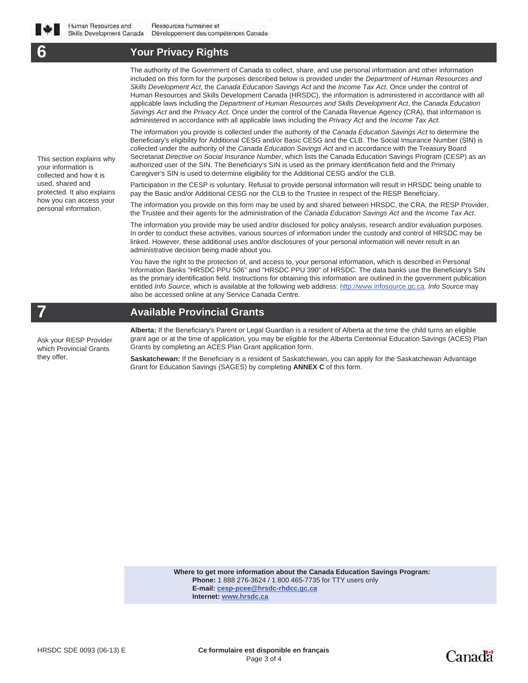## **6 Your Privacy Rights**

The authority of the Government of Canada to collect, share, and use personal information and other information included on this form for the purposes described below is provided under the *Department of Human Resources and Skills Development Act*, the *Canada Education Savings Act* and the *Income Tax Act*. Once under the control of Human Resources and Skills Development Canada (HRSDC), the information is administered in accordance with all applicable laws including the *Department of Human Resources and Skills Development Act*, the *Canada Education Savings Act* and the *Privacy Act*. Once under the control of the Canada Revenue Agency (CRA), that information is administered in accordance with all applicable laws including the *Privacy Act* and the *Income Tax Act*.

The information you provide is collected under the authority of the *Canada Education Savings Act* to determine the Beneficiary's eligibility for Additional CESG and/or Basic CESG and the CLB. The Social Insurance Number (SIN) is collected under the authority of the *Canada Education Savings Act* and in accordance with the Treasury Board Secretariat *Directive on Social Insurance Number*, which lists the Canada Education Savings Program (CESP) as an authorized user of the SIN. The Beneficiary's SIN is used as the primary identification field and the Primary Caregiver's SIN is used to determine eligibility for the Additional CESG and/or the CLB.

Participation in the CESP is voluntary. Refusal to provide personal information will result in HRSDC being unable to pay the Basic and/or Additional CESG nor the CLB to the Trustee in respect of the RESP Beneficiary.

The information you provide on this form may be used by and shared between HRSDC, the CRA, the RESP Provider, the Trustee and their agents for the administration of the *Canada Education Savings Act* and the *Income Tax Act*.

The information you provide may be used and/or disclosed for policy analysis, research and/or evaluation purposes. In order to conduct these activities, various sources of information under the custody and control of HRSDC may be linked. However, these additional uses and/or disclosures of your personal information will never result in an administrative decision being made about you.

You have the right to the protection of, and access to, your personal information, which is described in Personal Information Banks "HRSDC PPU 506" and "HRSDC PPU 390" of HRSDC. The data banks use the Beneficiary's SIN as the primary identification field. Instructions for obtaining this information are outlined in the government publication entitled *Info Source*, which is available at the following web address: http://www.infosource.gc.ca. *Info Source* may also be accessed online at any Service Canada Centre.

## **7 Available Provincial Grants**

Ask your RESP Provider which Provincial Grants they offer.

This section explains why your information is collected and how it is used, shared and protected. It also explains how you can access your personal information.

> **Alberta:** If the Beneficiary's Parent or Legal Guardian is a resident of Alberta at the time the child turns an eligible grant age or at the time of application, you may be eligible for the Alberta Centennial Education Savings (ACES) Plan Grants by completing an ACES Plan Grant application form.

**Saskatchewan:** If the Beneficiary is a resident of Saskatchewan, you can apply for the Saskatchewan Advantage Grant for Education Savings (SAGES) by completing **ANNEX C** of this form.

> **Where to get more information about the Canada Education Savings Program: Phone:** 1 888 276-3624 / 1 800 465-7735 for TTY users only **E-mail: cesp-pcee@hrsdc-rhdcc.gc.ca Internet: www.hrsdc.ca**